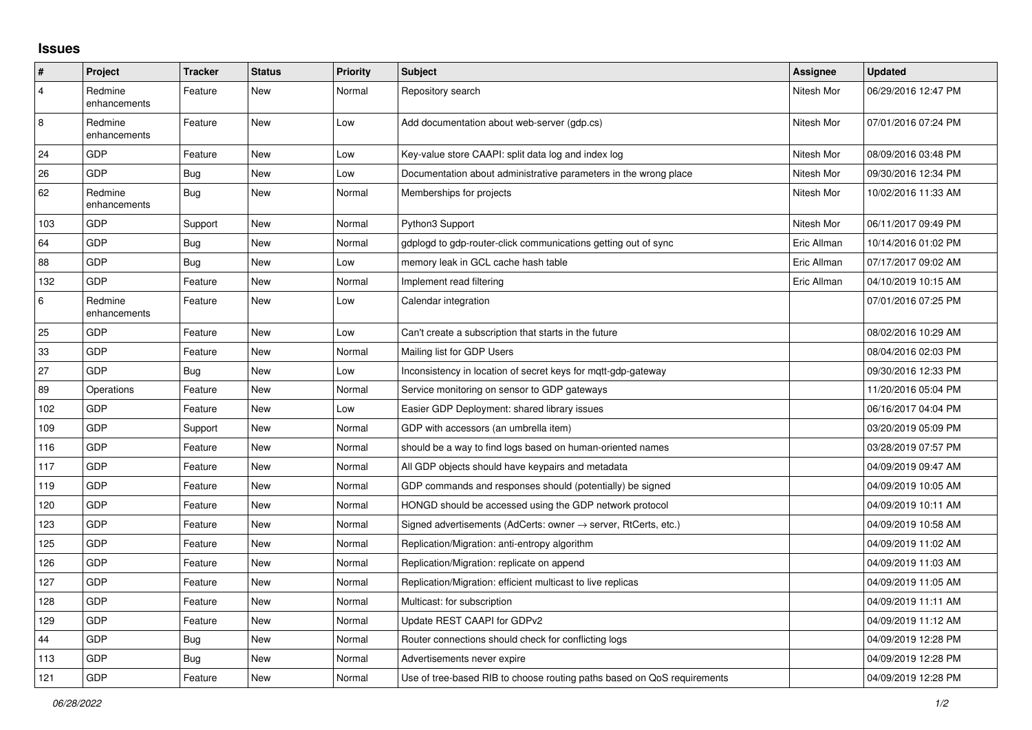## **Issues**

| $\sharp$       | Project                 | <b>Tracker</b> | <b>Status</b> | <b>Priority</b> | <b>Subject</b>                                                             | Assignee    | <b>Updated</b>      |
|----------------|-------------------------|----------------|---------------|-----------------|----------------------------------------------------------------------------|-------------|---------------------|
| $\overline{4}$ | Redmine<br>enhancements | Feature        | <b>New</b>    | Normal          | Repository search                                                          | Nitesh Mor  | 06/29/2016 12:47 PM |
| 8              | Redmine<br>enhancements | Feature        | New           | Low             | Add documentation about web-server (gdp.cs)                                | Nitesh Mor  | 07/01/2016 07:24 PM |
| 24             | <b>GDP</b>              | Feature        | <b>New</b>    | Low             | Key-value store CAAPI: split data log and index log                        | Nitesh Mor  | 08/09/2016 03:48 PM |
| 26             | <b>GDP</b>              | <b>Bug</b>     | New           | Low             | Documentation about administrative parameters in the wrong place           | Nitesh Mor  | 09/30/2016 12:34 PM |
| 62             | Redmine<br>enhancements | <b>Bug</b>     | <b>New</b>    | Normal          | Memberships for projects                                                   | Nitesh Mor  | 10/02/2016 11:33 AM |
| 103            | GDP                     | Support        | <b>New</b>    | Normal          | Python3 Support                                                            | Nitesh Mor  | 06/11/2017 09:49 PM |
| 64             | GDP                     | <b>Bug</b>     | <b>New</b>    | Normal          | gdplogd to gdp-router-click communications getting out of sync             | Eric Allman | 10/14/2016 01:02 PM |
| 88             | GDP                     | <b>Bug</b>     | <b>New</b>    | Low             | memory leak in GCL cache hash table                                        | Eric Allman | 07/17/2017 09:02 AM |
| 132            | <b>GDP</b>              | Feature        | <b>New</b>    | Normal          | Implement read filtering                                                   | Eric Allman | 04/10/2019 10:15 AM |
| $\,6\,$        | Redmine<br>enhancements | Feature        | <b>New</b>    | Low             | Calendar integration                                                       |             | 07/01/2016 07:25 PM |
| 25             | <b>GDP</b>              | Feature        | <b>New</b>    | Low             | Can't create a subscription that starts in the future                      |             | 08/02/2016 10:29 AM |
| 33             | <b>GDP</b>              | Feature        | <b>New</b>    | Normal          | Mailing list for GDP Users                                                 |             | 08/04/2016 02:03 PM |
| 27             | <b>GDP</b>              | Bug            | <b>New</b>    | Low             | Inconsistency in location of secret keys for mqtt-gdp-gateway              |             | 09/30/2016 12:33 PM |
| 89             | Operations              | Feature        | New           | Normal          | Service monitoring on sensor to GDP gateways                               |             | 11/20/2016 05:04 PM |
| 102            | GDP                     | Feature        | <b>New</b>    | Low             | Easier GDP Deployment: shared library issues                               |             | 06/16/2017 04:04 PM |
| 109            | <b>GDP</b>              | Support        | <b>New</b>    | Normal          | GDP with accessors (an umbrella item)                                      |             | 03/20/2019 05:09 PM |
| 116            | <b>GDP</b>              | Feature        | <b>New</b>    | Normal          | should be a way to find logs based on human-oriented names                 |             | 03/28/2019 07:57 PM |
| 117            | GDP                     | Feature        | <b>New</b>    | Normal          | All GDP objects should have keypairs and metadata                          |             | 04/09/2019 09:47 AM |
| 119            | <b>GDP</b>              | Feature        | <b>New</b>    | Normal          | GDP commands and responses should (potentially) be signed                  |             | 04/09/2019 10:05 AM |
| 120            | GDP                     | Feature        | New           | Normal          | HONGD should be accessed using the GDP network protocol                    |             | 04/09/2019 10:11 AM |
| 123            | GDP                     | Feature        | <b>New</b>    | Normal          | Signed advertisements (AdCerts: owner $\rightarrow$ server, RtCerts, etc.) |             | 04/09/2019 10:58 AM |
| 125            | <b>GDP</b>              | Feature        | <b>New</b>    | Normal          | Replication/Migration: anti-entropy algorithm                              |             | 04/09/2019 11:02 AM |
| 126            | GDP                     | Feature        | <b>New</b>    | Normal          | Replication/Migration: replicate on append                                 |             | 04/09/2019 11:03 AM |
| 127            | <b>GDP</b>              | Feature        | <b>New</b>    | Normal          | Replication/Migration: efficient multicast to live replicas                |             | 04/09/2019 11:05 AM |
| 128            | <b>GDP</b>              | Feature        | <b>New</b>    | Normal          | Multicast: for subscription                                                |             | 04/09/2019 11:11 AM |
| 129            | GDP                     | Feature        | <b>New</b>    | Normal          | Update REST CAAPI for GDPv2                                                |             | 04/09/2019 11:12 AM |
| 44             | <b>GDP</b>              | <b>Bug</b>     | <b>New</b>    | Normal          | Router connections should check for conflicting logs                       |             | 04/09/2019 12:28 PM |
| 113            | GDP                     | Bug            | <b>New</b>    | Normal          | Advertisements never expire                                                |             | 04/09/2019 12:28 PM |
| 121            | GDP                     | Feature        | <b>New</b>    | Normal          | Use of tree-based RIB to choose routing paths based on QoS requirements    |             | 04/09/2019 12:28 PM |